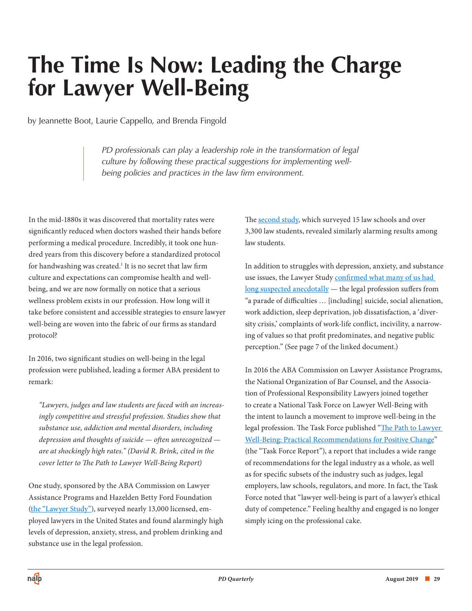# **The Time Is Now: Leading the Charge for Lawyer Well-Being**

by Jeannette Boot, Laurie Cappello, and Brenda Fingold

*PD professionals can play a leadership role in the transformation of legal culture by following these practical suggestions for implementing wellbeing policies and practices in the law firm environment.*

In the mid-1880s it was discovered that mortality rates were significantly reduced when doctors washed their hands before performing a medical procedure. Incredibly, it took one hundred years from this discovery before a standardized protocol for handwashing was created.<sup>1</sup> It is no secret that law firm culture and expectations can compromise health and wellbeing, and we are now formally on notice that a serious wellness problem exists in our profession. How long will it take before consistent and accessible strategies to ensure lawyer well-being are woven into the fabric of our firms as standard protocol?

In 2016, two significant studies on well-being in the legal profession were published, leading a former ABA president to remark:

*"Lawyers, judges and law students are faced with an increasingly competitive and stressful profession. Studies show that substance use, addiction and mental disorders, including depression and thoughts of suicide — often unrecognized are at shockingly high rates." (David R. Brink, cited in the cover letter to The Path to Lawyer Well-Being Report)*

One study, sponsored by the ABA Commission on Lawyer Assistance Programs and Hazelden Betty Ford Foundation [\(the "Lawyer Study"\),](https://www.ncbi.nlm.nih.gov/pmc/articles/PMC4736291/pdf/adm-10-46.pdf) surveyed nearly 13,000 licensed, employed lawyers in the United States and found alarmingly high levels of depression, anxiety, stress, and problem drinking and substance use in the legal profession.

The [second study,](https://jle.aals.org/cgi/viewcontent.cgi?article=1370&context=home) which surveyed 15 law schools and over 3,300 law students, revealed similarly alarming results among law students.

In addition to struggles with depression, anxiety, and substance use issues, the Lawyer Study confirmed what many of us had [long suspected anecdotally — the legal profession suffers from](https://www.americanbar.org/content/dam/aba/images/abanews/ThePathToLawyerWellBeingReportRevFINAL.pdf)  "a parade of difficulties … [including] suicide, social alienation, work addiction, sleep deprivation, job dissatisfaction, a 'diversity crisis,' complaints of work-life conflict, incivility, a narrowing of values so that profit predominates, and negative public perception." (See page 7 of the linked document.)

In 2016 the ABA Commission on Lawyer Assistance Programs, the National Organization of Bar Counsel, and the Association of Professional Responsibility Lawyers joined together to create a National Task Force on Lawyer Well-Being with the intent to launch a movement to improve well-being in the legal profession. The Task Force published "The Path to Lawyer Well-Being: Practical Recommendations for Positive Change" (the "Task Force Report"), a report that includes a wide range of recommendations for the legal industry as a whole, as well as for specific subsets of the industry such as judges, legal employers, law schools, regulators, and more. In fact, the Task Force noted that "lawyer well-being is part of a lawyer's ethical duty of competence." Feeling healthy and engaged is no longer simply icing on the professional cake.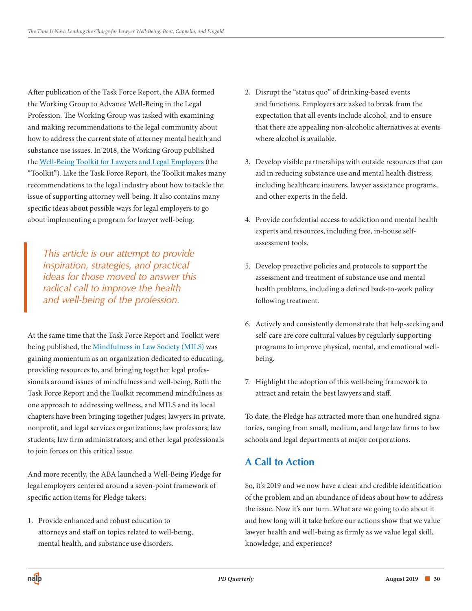After publication of the Task Force Report, the ABA formed the Working Group to Advance Well-Being in the Legal Profession. The Working Group was tasked with examining and making recommendations to the legal community about how to address the current state of attorney mental health and substance use issues. In 2018, the Working Group published the [Well-Being Toolkit for Lawyers and Legal Employers](https://www.americanbar.org/content/dam/aba/administrative/lawyer_assistance/ls_colap_well-being_toolkit_for_lawyers_legal_employers.pdf) (the "Toolkit"). Like the Task Force Report, the Toolkit makes many recommendations to the legal industry about how to tackle the issue of supporting attorney well-being. It also contains many specific ideas about possible ways for legal employers to go about implementing a program for lawyer well-being.

*This article is our attempt to provide inspiration, strategies, and practical ideas for those moved to answer this radical call to improve the health and well-being of the profession.* 

At the same time that the Task Force Report and Toolkit were being published, the [Mindfulness in Law Society \(MILS\)](https://mindfulnessinlawsociety.com) was gaining momentum as an organization dedicated to educating, providing resources to, and bringing together legal professionals around issues of mindfulness and well-being. Both the Task Force Report and the Toolkit recommend mindfulness as one approach to addressing wellness, and MILS and its local chapters have been bringing together judges; lawyers in private, nonprofit, and legal services organizations; law professors; law students; law firm administrators; and other legal professionals to join forces on this critical issue.

And more recently, the ABA launched a Well-Being Pledge for legal employers centered around a seven-point framework of specific action items for Pledge takers:

1. Provide enhanced and robust education to attorneys and staff on topics related to well-being, mental health, and substance use disorders.

- 2. Disrupt the "status quo" of drinking-based events and functions. Employers are asked to break from the expectation that all events include alcohol, and to ensure that there are appealing non-alcoholic alternatives at events where alcohol is available.
- 3. Develop visible partnerships with outside resources that can aid in reducing substance use and mental health distress, including healthcare insurers, lawyer assistance programs, and other experts in the field.
- 4. Provide confidential access to addiction and mental health experts and resources, including free, in-house selfassessment tools.
- 5. Develop proactive policies and protocols to support the assessment and treatment of substance use and mental health problems, including a defined back-to-work policy following treatment.
- 6. Actively and consistently demonstrate that help-seeking and self-care are core cultural values by regularly supporting programs to improve physical, mental, and emotional wellbeing.
- 7. Highlight the adoption of this well-being framework to attract and retain the best lawyers and staff.

To date, the Pledge has attracted more than one hundred signatories, ranging from small, medium, and large law firms to law schools and legal departments at major corporations.

## **A Call to Action**

So, it's 2019 and we now have a clear and credible identification of the problem and an abundance of ideas about how to address the issue. Now it's our turn. What are we going to do about it and how long will it take before our actions show that we value lawyer health and well-being as firmly as we value legal skill, knowledge, and experience?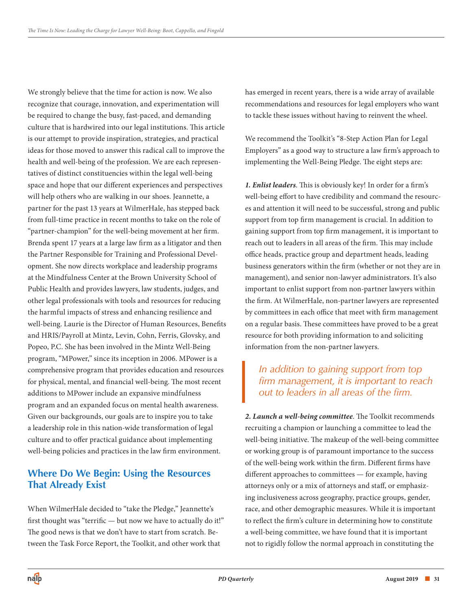We strongly believe that the time for action is now. We also recognize that courage, innovation, and experimentation will be required to change the busy, fast-paced, and demanding culture that is hardwired into our legal institutions. This article is our attempt to provide inspiration, strategies, and practical ideas for those moved to answer this radical call to improve the health and well-being of the profession. We are each representatives of distinct constituencies within the legal well-being space and hope that our different experiences and perspectives will help others who are walking in our shoes. Jeannette, a partner for the past 13 years at WilmerHale, has stepped back from full-time practice in recent months to take on the role of "partner-champion" for the well-being movement at her firm. Brenda spent 17 years at a large law firm as a litigator and then the Partner Responsible for Training and Professional Development. She now directs workplace and leadership programs at the Mindfulness Center at the Brown University School of Public Health and provides lawyers, law students, judges, and other legal professionals with tools and resources for reducing the harmful impacts of stress and enhancing resilience and well-being. Laurie is the Director of Human Resources, Benefits and HRIS/Payroll at Mintz, Levin, Cohn, Ferris, Glovsky, and Popeo, P.C. She has been involved in the Mintz Well-Being program, "MPower," since its inception in 2006. MPower is a comprehensive program that provides education and resources for physical, mental, and financial well-being. The most recent additions to MPower include an expansive mindfulness program and an expanded focus on mental health awareness. Given our backgrounds, our goals are to inspire you to take a leadership role in this nation-wide transformation of legal culture and to offer practical guidance about implementing well-being policies and practices in the law firm environment.

## **Where Do We Begin: Using the Resources That Already Exist**

When WilmerHale decided to "take the Pledge," Jeannette's first thought was "terrific — but now we have to actually do it!" The good news is that we don't have to start from scratch. Between the Task Force Report, the Toolkit, and other work that

has emerged in recent years, there is a wide array of available recommendations and resources for legal employers who want to tackle these issues without having to reinvent the wheel.

We recommend the Toolkit's "8-Step Action Plan for Legal Employers" as a good way to structure a law firm's approach to implementing the Well-Being Pledge. The eight steps are:

*1. Enlist leaders*. This is obviously key! In order for a firm's well-being effort to have credibility and command the resources and attention it will need to be successful, strong and public support from top firm management is crucial. In addition to gaining support from top firm management, it is important to reach out to leaders in all areas of the firm. This may include office heads, practice group and department heads, leading business generators within the firm (whether or not they are in management), and senior non-lawyer administrators. It's also important to enlist support from non-partner lawyers within the firm. At WilmerHale, non-partner lawyers are represented by committees in each office that meet with firm management on a regular basis. These committees have proved to be a great resource for both providing information to and soliciting information from the non-partner lawyers.

## *In addition to gaining support from top firm management, it is important to reach out to leaders in all areas of the firm.*

*2. Launch a well-being committee*. The Toolkit recommends recruiting a champion or launching a committee to lead the well-being initiative. The makeup of the well-being committee or working group is of paramount importance to the success of the well-being work within the firm. Different firms have different approaches to committees — for example, having attorneys only or a mix of attorneys and staff, or emphasizing inclusiveness across geography, practice groups, gender, race, and other demographic measures. While it is important to reflect the firm's culture in determining how to constitute a well-being committee, we have found that it is important not to rigidly follow the normal approach in constituting the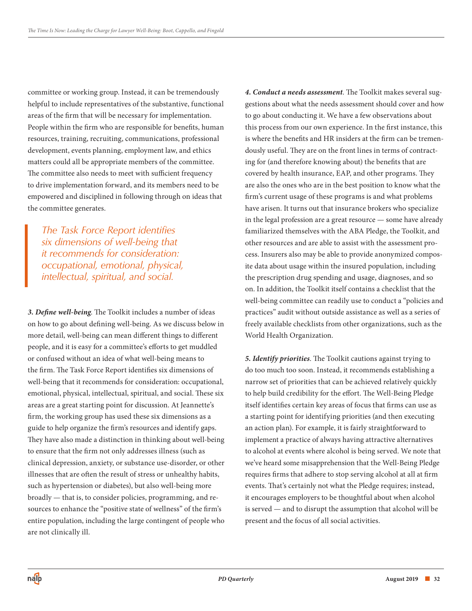committee or working group. Instead, it can be tremendously helpful to include representatives of the substantive, functional areas of the firm that will be necessary for implementation. People within the firm who are responsible for benefits, human resources, training, recruiting, communications, professional development, events planning, employment law, and ethics matters could all be appropriate members of the committee. The committee also needs to meet with sufficient frequency to drive implementation forward, and its members need to be empowered and disciplined in following through on ideas that the committee generates.

*The Task Force Report identifies six dimensions of well-being that it recommends for consideration: occupational, emotional, physical, intellectual, spiritual, and social.* 

*3. Define well-being*. The Toolkit includes a number of ideas on how to go about defining well-being. As we discuss below in more detail, well-being can mean different things to different people, and it is easy for a committee's efforts to get muddled or confused without an idea of what well-being means to the firm. The Task Force Report identifies six dimensions of well-being that it recommends for consideration: occupational, emotional, physical, intellectual, spiritual, and social. These six areas are a great starting point for discussion. At Jeannette's firm, the working group has used these six dimensions as a guide to help organize the firm's resources and identify gaps. They have also made a distinction in thinking about well-being to ensure that the firm not only addresses illness (such as clinical depression, anxiety, or substance use-disorder, or other illnesses that are often the result of stress or unhealthy habits, such as hypertension or diabetes), but also well-being more broadly — that is, to consider policies, programming, and resources to enhance the "positive state of wellness" of the firm's entire population, including the large contingent of people who are not clinically ill.

*4. Conduct a needs assessment*. The Toolkit makes several suggestions about what the needs assessment should cover and how to go about conducting it. We have a few observations about this process from our own experience. In the first instance, this is where the benefits and HR insiders at the firm can be tremendously useful. They are on the front lines in terms of contracting for (and therefore knowing about) the benefits that are covered by health insurance, EAP, and other programs. They are also the ones who are in the best position to know what the firm's current usage of these programs is and what problems have arisen. It turns out that insurance brokers who specialize in the legal profession are a great resource — some have already familiarized themselves with the ABA Pledge, the Toolkit, and other resources and are able to assist with the assessment process. Insurers also may be able to provide anonymized composite data about usage within the insured population, including the prescription drug spending and usage, diagnoses, and so on. In addition, the Toolkit itself contains a checklist that the well-being committee can readily use to conduct a "policies and practices" audit without outside assistance as well as a series of freely available checklists from other organizations, such as the World Health Organization.

*5. Identify priorities*. The Toolkit cautions against trying to do too much too soon. Instead, it recommends establishing a narrow set of priorities that can be achieved relatively quickly to help build credibility for the effort. The Well-Being Pledge itself identifies certain key areas of focus that firms can use as a starting point for identifying priorities (and then executing an action plan). For example, it is fairly straightforward to implement a practice of always having attractive alternatives to alcohol at events where alcohol is being served. We note that we've heard some misapprehension that the Well-Being Pledge requires firms that adhere to stop serving alcohol at all at firm events. That's certainly not what the Pledge requires; instead, it encourages employers to be thoughtful about when alcohol is served — and to disrupt the assumption that alcohol will be present and the focus of all social activities.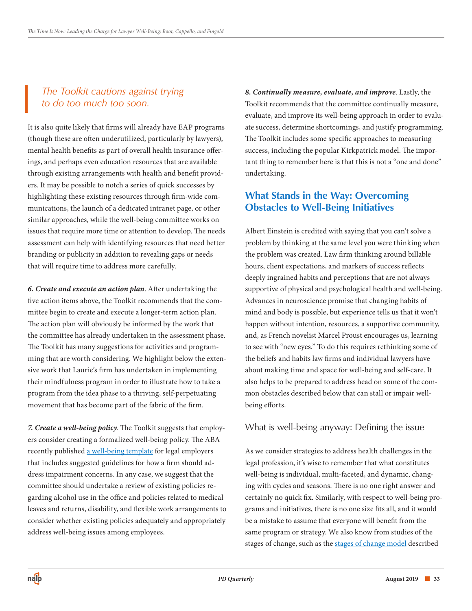## *The Toolkit cautions against trying to do too much too soon.*

It is also quite likely that firms will already have EAP programs (though these are often underutilized, particularly by lawyers), mental health benefits as part of overall health insurance offerings, and perhaps even education resources that are available through existing arrangements with health and benefit providers. It may be possible to notch a series of quick successes by highlighting these existing resources through firm-wide communications, the launch of a dedicated intranet page, or other similar approaches, while the well-being committee works on issues that require more time or attention to develop. The needs assessment can help with identifying resources that need better branding or publicity in addition to revealing gaps or needs that will require time to address more carefully.

*6. Create and execute an action plan*. After undertaking the five action items above, the Toolkit recommends that the committee begin to create and execute a longer-term action plan. The action plan will obviously be informed by the work that the committee has already undertaken in the assessment phase. The Toolkit has many suggestions for activities and programming that are worth considering. We highlight below the extensive work that Laurie's firm has undertaken in implementing their mindfulness program in order to illustrate how to take a program from the idea phase to a thriving, self-perpetuating movement that has become part of the fabric of the firm.

*7. Create a well-being policy*. The Toolkit suggests that employers consider creating a formalized well-being policy. The ABA recently published [a well-being template](https://www.americanbar.org/content/dam/aba/administrative/lawyer_assistance/well-being-template-for-legal-employers-final-3-19.pdf) for legal employers that includes suggested guidelines for how a firm should address impairment concerns. In any case, we suggest that the committee should undertake a review of existing policies regarding alcohol use in the office and policies related to medical leaves and returns, disability, and flexible work arrangements to consider whether existing policies adequately and appropriately address well-being issues among employees.

*8. Continually measure, evaluate, and improve*. Lastly, the Toolkit recommends that the committee continually measure, evaluate, and improve its well-being approach in order to evaluate success, determine shortcomings, and justify programming. The Toolkit includes some specific approaches to measuring success, including the popular Kirkpatrick model. The important thing to remember here is that this is not a "one and done" undertaking.

## **What Stands in the Way: Overcoming Obstacles to Well-Being Initiatives**

Albert Einstein is credited with saying that you can't solve a problem by thinking at the same level you were thinking when the problem was created. Law firm thinking around billable hours, client expectations, and markers of success reflects deeply ingrained habits and perceptions that are not always supportive of physical and psychological health and well-being. Advances in neuroscience promise that changing habits of mind and body is possible, but experience tells us that it won't happen without intention, resources, a supportive community, and, as French novelist Marcel Proust encourages us, learning to see with "new eyes." To do this requires rethinking some of the beliefs and habits law firms and individual lawyers have about making time and space for well-being and self-care. It also helps to be prepared to address head on some of the common obstacles described below that can stall or impair wellbeing efforts.

#### What is well-being anyway: Defining the issue

As we consider strategies to address health challenges in the legal profession, it's wise to remember that what constitutes well-being is individual, multi-faceted, and dynamic, changing with cycles and seasons. There is no one right answer and certainly no quick fix. Similarly, with respect to well-being programs and initiatives, there is no one size fits all, and it would be a mistake to assume that everyone will benefit from the same program or strategy. We also know from studies of the stages of change, such as the [stages of change model](https://en.wikipedia.org/wiki/Transtheoretical_model) described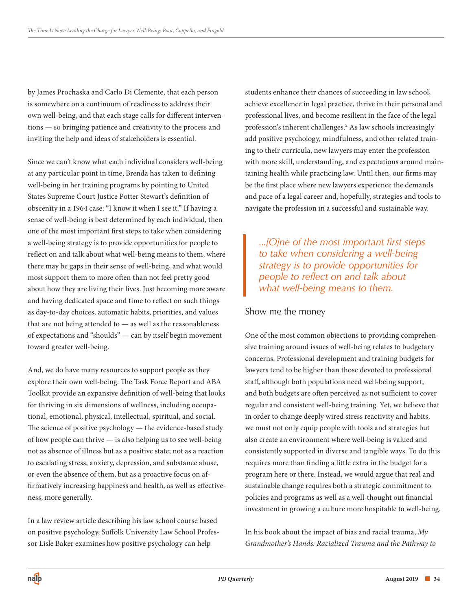by James Prochaska and Carlo Di Clemente, that each person is somewhere on a continuum of readiness to address their own well-being, and that each stage calls for different interventions — so bringing patience and creativity to the process and inviting the help and ideas of stakeholders is essential.

Since we can't know what each individual considers well-being at any particular point in time, Brenda has taken to defining well-being in her training programs by pointing to United States Supreme Court Justice Potter Stewart's definition of obscenity in a 1964 case: "I know it when I see it." If having a sense of well-being is best determined by each individual, then one of the most important first steps to take when considering a well-being strategy is to provide opportunities for people to reflect on and talk about what well-being means to them, where there may be gaps in their sense of well-being, and what would most support them to more often than not feel pretty good about how they are living their lives. Just becoming more aware and having dedicated space and time to reflect on such things as day-to-day choices, automatic habits, priorities, and values that are not being attended to — as well as the reasonableness of expectations and "shoulds" — can by itself begin movement toward greater well-being.

And, we do have many resources to support people as they explore their own well-being. The Task Force Report and ABA Toolkit provide an expansive definition of well-being that looks for thriving in six dimensions of wellness, including occupational, emotional, physical, intellectual, spiritual, and social. The science of positive psychology — the evidence-based study of how people can thrive — is also helping us to see well-being not as absence of illness but as a positive state; not as a reaction to escalating stress, anxiety, depression, and substance abuse, or even the absence of them, but as a proactive focus on affirmatively increasing happiness and health, as well as effectiveness, more generally.

In a law review article describing his law school course based on positive psychology, Suffolk University Law School Professor Lisle Baker examines how positive psychology can help

students enhance their chances of succeeding in law school, achieve excellence in legal practice, thrive in their personal and professional lives, and become resilient in the face of the legal profession's inherent challenges.2 As law schools increasingly add positive psychology, mindfulness, and other related training to their curricula, new lawyers may enter the profession with more skill, understanding, and expectations around maintaining health while practicing law. Until then, our firms may be the first place where new lawyers experience the demands and pace of a legal career and, hopefully, strategies and tools to navigate the profession in a successful and sustainable way.

*...[O]ne of the most important first steps to take when considering a well-being strategy is to provide opportunities for people to reflect on and talk about what well-being means to them.* 

#### Show me the money

One of the most common objections to providing comprehensive training around issues of well-being relates to budgetary concerns. Professional development and training budgets for lawyers tend to be higher than those devoted to professional staff, although both populations need well-being support, and both budgets are often perceived as not sufficient to cover regular and consistent well-being training. Yet, we believe that in order to change deeply wired stress reactivity and habits, we must not only equip people with tools and strategies but also create an environment where well-being is valued and consistently supported in diverse and tangible ways. To do this requires more than finding a little extra in the budget for a program here or there. Instead, we would argue that real and sustainable change requires both a strategic commitment to policies and programs as well as a well-thought out financial investment in growing a culture more hospitable to well-being.

In his book about the impact of bias and racial trauma, *My Grandmother's Hands: Racialized Trauma and the Pathway to*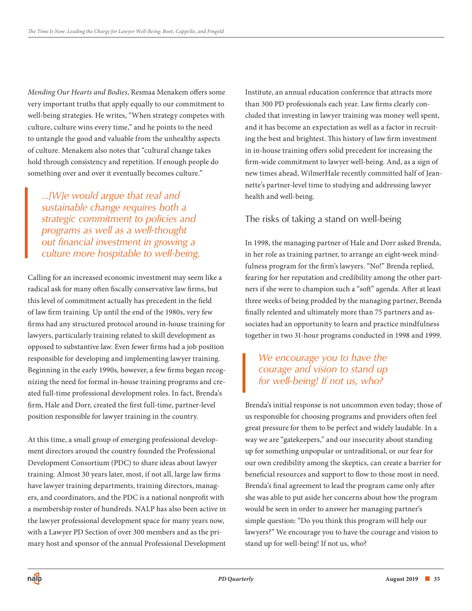*Mending Our Hearts and Bodies*, Resmaa Menakem offers some very important truths that apply equally to our commitment to well-being strategies. He writes, "When strategy competes with culture, culture wins every time," and he points to the need to untangle the good and valuable from the unhealthy aspects of culture. Menakem also notes that "cultural change takes hold through consistency and repetition. If enough people do something over and over it eventually becomes culture."

*...[W]e would argue that real and sustainable change requires both a strategic commitment to policies and programs as well as a well-thought out financial investment in growing a culture more hospitable to well-being.* 

Calling for an increased economic investment may seem like a radical ask for many often fiscally conservative law firms, but this level of commitment actually has precedent in the field of law firm training. Up until the end of the 1980s, very few firms had any structured protocol around in-house training for lawyers, particularly training related to skill development as opposed to substantive law. Even fewer firms had a job position responsible for developing and implementing lawyer training. Beginning in the early 1990s, however, a few firms began recognizing the need for formal in-house training programs and created full-time professional development roles. In fact, Brenda's firm, Hale and Dorr, created the first full-time, partner-level position responsible for lawyer training in the country.

At this time, a small group of emerging professional development directors around the country founded the Professional Development Consortium (PDC) to share ideas about lawyer training. Almost 30 years later, most, if not all, large law firms have lawyer training departments, training directors, managers, and coordinators, and the PDC is a national nonprofit with a membership roster of hundreds. NALP has also been active in the lawyer professional development space for many years now, with a Lawyer PD Section of over 300 members and as the primary host and sponsor of the annual Professional Development

Institute, an annual education conference that attracts more than 300 PD professionals each year. Law firms clearly concluded that investing in lawyer training was money well spent, and it has become an expectation as well as a factor in recruiting the best and brightest. This history of law firm investment in in-house training offers solid precedent for increasing the firm-wide commitment to lawyer well-being. And, as a sign of new times ahead, WilmerHale recently committed half of Jeannette's partner-level time to studying and addressing lawyer health and well-being.

#### The risks of taking a stand on well-being

In 1998, the managing partner of Hale and Dorr asked Brenda, in her role as training partner, to arrange an eight-week mindfulness program for the firm's lawyers. "No!" Brenda replied, fearing for her reputation and credibility among the other partners if she were to champion such a "soft" agenda. After at least three weeks of being prodded by the managing partner, Brenda finally relented and ultimately more than 75 partners and associates had an opportunity to learn and practice mindfulness together in two 31-hour programs conducted in 1998 and 1999.

## *We encourage you to have the courage and vision to stand up for well-being! If not us, who?*

Brenda's initial response is not uncommon even today; those of us responsible for choosing programs and providers often feel great pressure for them to be perfect and widely laudable. In a way we are "gatekeepers," and our insecurity about standing up for something unpopular or untraditional, or our fear for our own credibility among the skeptics, can create a barrier for beneficial resources and support to flow to those most in need. Brenda's final agreement to lead the program came only after she was able to put aside her concerns about how the program would be seen in order to answer her managing partner's simple question: "Do you think this program will help our lawyers?" We encourage you to have the courage and vision to stand up for well-being! If not us, who?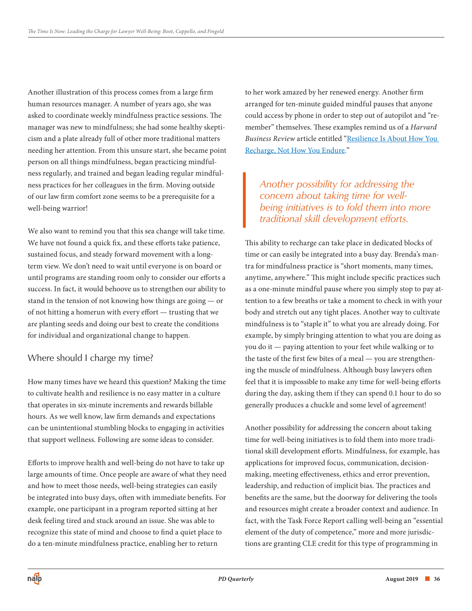Another illustration of this process comes from a large firm human resources manager. A number of years ago, she was asked to coordinate weekly mindfulness practice sessions. The manager was new to mindfulness; she had some healthy skepticism and a plate already full of other more traditional matters needing her attention. From this unsure start, she became point person on all things mindfulness, began practicing mindfulness regularly, and trained and began leading regular mindfulness practices for her colleagues in the firm. Moving outside of our law firm comfort zone seems to be a prerequisite for a well-being warrior!

We also want to remind you that this sea change will take time. We have not found a quick fix, and these efforts take patience, sustained focus, and steady forward movement with a longterm view. We don't need to wait until everyone is on board or until programs are standing room only to consider our efforts a success. In fact, it would behoove us to strengthen our ability to stand in the tension of not knowing how things are going — or of not hitting a homerun with every effort — trusting that we are planting seeds and doing our best to create the conditions for individual and organizational change to happen.

#### Where should I charge my time?

How many times have we heard this question? Making the time to cultivate health and resilience is no easy matter in a culture that operates in six-minute increments and rewards billable hours. As we well know, law firm demands and expectations can be unintentional stumbling blocks to engaging in activities that support wellness. Following are some ideas to consider.

Efforts to improve health and well-being do not have to take up large amounts of time. Once people are aware of what they need and how to meet those needs, well-being strategies can easily be integrated into busy days, often with immediate benefits. For example, one participant in a program reported sitting at her desk feeling tired and stuck around an issue. She was able to recognize this state of mind and choose to find a quiet place to do a ten-minute mindfulness practice, enabling her to return

to her work amazed by her renewed energy. Another firm arranged for ten-minute guided mindful pauses that anyone could access by phone in order to step out of autopilot and "remember" themselves. These examples remind us of a *Harvard Business Review* [article entitled "Resilience Is About How You](https://hbr.org/2016/06/resilience-is-about-how-you-recharge-not-how-you-endure)  Recharge, Not How You Endure*.*"

## *Another possibility for addressing the concern about taking time for wellbeing initiatives is to fold them into more traditional skill development efforts.*

This ability to recharge can take place in dedicated blocks of time or can easily be integrated into a busy day. Brenda's mantra for mindfulness practice is "short moments, many times, anytime, anywhere." This might include specific practices such as a one-minute mindful pause where you simply stop to pay attention to a few breaths or take a moment to check in with your body and stretch out any tight places. Another way to cultivate mindfulness is to "staple it" to what you are already doing. For example, by simply bringing attention to what you are doing as you do it — paying attention to your feet while walking or to the taste of the first few bites of a meal — you are strengthening the muscle of mindfulness. Although busy lawyers often feel that it is impossible to make any time for well-being efforts during the day, asking them if they can spend 0.1 hour to do so generally produces a chuckle and some level of agreement!

Another possibility for addressing the concern about taking time for well-being initiatives is to fold them into more traditional skill development efforts. Mindfulness, for example, has applications for improved focus, communication, decisionmaking, meeting effectiveness, ethics and error prevention, leadership, and reduction of implicit bias. The practices and benefits are the same, but the doorway for delivering the tools and resources might create a broader context and audience. In fact, with the Task Force Report calling well-being an "essential element of the duty of competence," more and more jurisdictions are granting CLE credit for this type of programming in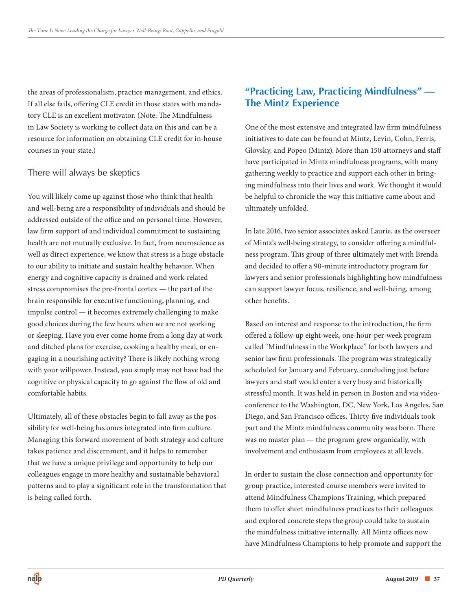the areas of professionalism, practice management, and ethics. If all else fails, offering CLE credit in those states with mandatory CLE is an excellent motivator. (Note: The Mindfulness in Law Society is working to collect data on this and can be a resource for information on obtaining CLE credit for in-house courses in your state.)

#### There will always be skeptics

You will likely come up against those who think that health and well-being are a responsibility of individuals and should be addressed outside of the office and on personal time. However, law firm support of and individual commitment to sustaining health are not mutually exclusive. In fact, from neuroscience as well as direct experience, we know that stress is a huge obstacle to our ability to initiate and sustain healthy behavior. When energy and cognitive capacity is drained and work-related stress compromises the pre-frontal cortex — the part of the brain responsible for executive functioning, planning, and impulse control — it becomes extremely challenging to make good choices during the few hours when we are not working or sleeping. Have you ever come home from a long day at work and ditched plans for exercise, cooking a healthy meal, or engaging in a nourishing activity? There is likely nothing wrong with your willpower. Instead, you simply may not have had the cognitive or physical capacity to go against the flow of old and comfortable habits.

Ultimately, all of these obstacles begin to fall away as the possibility for well-being becomes integrated into firm culture. Managing this forward movement of both strategy and culture takes patience and discernment, and it helps to remember that we have a unique privilege and opportunity to help our colleagues engage in more healthy and sustainable behavioral patterns and to play a significant role in the transformation that is being called forth.

## **"Practicing Law, Practicing Mindfulness" — The Mintz Experience**

One of the most extensive and integrated law firm mindfulness initiatives to date can be found at Mintz, Levin, Cohn, Ferris, Glovsky, and Popeo (Mintz). More than 150 attorneys and staff have participated in Mintz mindfulness programs, with many gathering weekly to practice and support each other in bringing mindfulness into their lives and work. We thought it would be helpful to chronicle the way this initiative came about and ultimately unfolded.

In late 2016, two senior associates asked Laurie, as the overseer of Mintz's well-being strategy, to consider offering a mindfulness program. This group of three ultimately met with Brenda and decided to offer a 90-minute introductory program for lawyers and senior professionals highlighting how mindfulness can support lawyer focus, resilience, and well-being, among other benefits.

Based on interest and response to the introduction, the firm offered a follow-up eight-week, one-hour-per-week program called "Mindfulness in the Workplace" for both lawyers and senior law firm professionals. The program was strategically scheduled for January and February, concluding just before lawyers and staff would enter a very busy and historically stressful month. It was held in person in Boston and via videoconference to the Washington, DC, New York, Los Angeles, San Diego, and San Francisco offices. Thirty-five individuals took part and the Mintz mindfulness community was born. There was no master plan — the program grew organically, with involvement and enthusiasm from employees at all levels.

In order to sustain the close connection and opportunity for group practice, interested course members were invited to attend Mindfulness Champions Training, which prepared them to offer short mindfulness practices to their colleagues and explored concrete steps the group could take to sustain the mindfulness initiative internally. All Mintz offices now have Mindfulness Champions to help promote and support the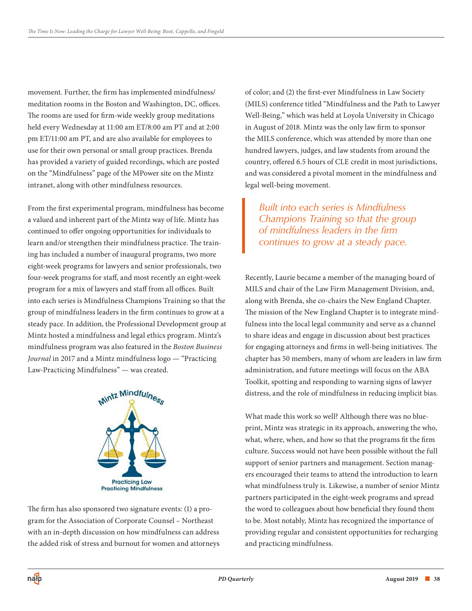movement. Further, the firm has implemented mindfulness/ meditation rooms in the Boston and Washington, DC, offices. The rooms are used for firm-wide weekly group meditations held every Wednesday at 11:00 am ET/8:00 am PT and at 2:00 pm ET/11:00 am PT, and are also available for employees to use for their own personal or small group practices. Brenda has provided a variety of guided recordings, which are posted on the "Mindfulness" page of the MPower site on the Mintz intranet, along with other mindfulness resources.

From the first experimental program, mindfulness has become a valued and inherent part of the Mintz way of life. Mintz has continued to offer ongoing opportunities for individuals to learn and/or strengthen their mindfulness practice. The training has included a number of inaugural programs, two more eight-week programs for lawyers and senior professionals, two four-week programs for staff, and most recently an eight-week program for a mix of lawyers and staff from all offices. Built into each series is Mindfulness Champions Training so that the group of mindfulness leaders in the firm continues to grow at a steady pace. In addition, the Professional Development group at Mintz hosted a mindfulness and legal ethics program. Mintz's mindfulness program was also featured in the *Boston Business Journal* in 2017 and a Mintz mindfulness logo — "Practicing Law-Practicing Mindfulness" — was created.



The firm has also sponsored two signature events: (1) a program for the Association of Corporate Counsel – Northeast with an in-depth discussion on how mindfulness can address the added risk of stress and burnout for women and attorneys of color; and (2) the first-ever Mindfulness in Law Society (MILS) conference titled "Mindfulness and the Path to Lawyer Well-Being," which was held at Loyola University in Chicago in August of 2018. Mintz was the only law firm to sponsor the MILS conference, which was attended by more than one hundred lawyers, judges, and law students from around the country, offered 6.5 hours of CLE credit in most jurisdictions, and was considered a pivotal moment in the mindfulness and legal well-being movement.

*Built into each series is Mindfulness Champions Training so that the group of mindfulness leaders in the firm continues to grow at a steady pace.*

Recently, Laurie became a member of the managing board of MILS and chair of the Law Firm Management Division, and, along with Brenda, she co-chairs the New England Chapter. The mission of the New England Chapter is to integrate mindfulness into the local legal community and serve as a channel to share ideas and engage in discussion about best practices for engaging attorneys and firms in well-being initiatives. The chapter has 50 members, many of whom are leaders in law firm administration, and future meetings will focus on the ABA Toolkit, spotting and responding to warning signs of lawyer distress, and the role of mindfulness in reducing implicit bias.

What made this work so well? Although there was no blueprint, Mintz was strategic in its approach, answering the who, what, where, when, and how so that the programs fit the firm culture. Success would not have been possible without the full support of senior partners and management. Section managers encouraged their teams to attend the introduction to learn what mindfulness truly is. Likewise, a number of senior Mintz partners participated in the eight-week programs and spread the word to colleagues about how beneficial they found them to be. Most notably, Mintz has recognized the importance of providing regular and consistent opportunities for recharging and practicing mindfulness.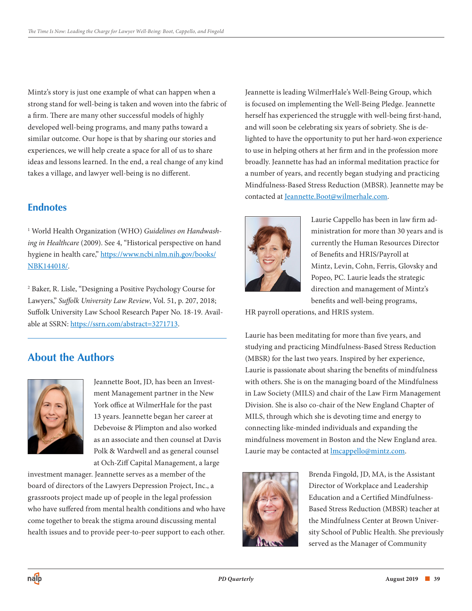Mintz's story is just one example of what can happen when a strong stand for well-being is taken and woven into the fabric of a firm. There are many other successful models of highly developed well-being programs, and many paths toward a similar outcome. Our hope is that by sharing our stories and experiences, we will help create a space for all of us to share ideas and lessons learned. In the end, a real change of any kind takes a village, and lawyer well-being is no different.

## **Endnotes**

1 World Health Organization (WHO) *Guidelines on Handwashing in Healthcare* (2009). See 4, "Historical perspective on hand [hygiene in health care," https://www.ncbi.nlm.nih.gov/books/](https://www.ncbi.nlm.nih.gov/books/NBK144018/) NBK144018/.

2 Baker, R. Lisle, "Designing a Positive Psychology Course for Lawyers," *Suffolk University Law Review*, Vol. 51, p. 207, 2018; Suffolk University Law School Research Paper No. 18-19. Available at SSRN: [https://ssrn.com/abstract=3271713.](https://ssrn.com/abstract=3271713)

## **About the Authors**



Jeannette Boot, JD, has been an Investment Management partner in the New York office at WilmerHale for the past 13 years. Jeannette began her career at Debevoise & Plimpton and also worked as an associate and then counsel at Davis Polk & Wardwell and as general counsel at Och-Ziff Capital Management, a large

investment manager. Jeannette serves as a member of the board of directors of the Lawyers Depression Project, Inc., a grassroots project made up of people in the legal profession who have suffered from mental health conditions and who have come together to break the stigma around discussing mental health issues and to provide peer-to-peer support to each other. Jeannette is leading WilmerHale's Well-Being Group, which is focused on implementing the Well-Being Pledge. Jeannette herself has experienced the struggle with well-being first-hand, and will soon be celebrating six years of sobriety. She is delighted to have the opportunity to put her hard-won experience to use in helping others at her firm and in the profession more broadly. Jeannette has had an informal meditation practice for a number of years, and recently began studying and practicing Mindfulness-Based Stress Reduction (MBSR). Jeannette may be contacted at [Jeannette.Boot@wilmerhale.com.](mailto:jeannette.boot@wilmerhale.com)



Laurie Cappello has been in law firm administration for more than 30 years and is currently the Human Resources Director of Benefits and HRIS/Payroll at Mintz, Levin, Cohn, Ferris, Glovsky and Popeo, PC. Laurie leads the strategic direction and management of Mintz's benefits and well-being programs,

HR payroll operations, and HRIS system.

Laurie has been meditating for more than five years, and studying and practicing Mindfulness-Based Stress Reduction (MBSR) for the last two years. Inspired by her experience, Laurie is passionate about sharing the benefits of mindfulness with others. She is on the managing board of the Mindfulness in Law Society (MILS) and chair of the Law Firm Management Division. She is also co-chair of the New England Chapter of MILS, through which she is devoting time and energy to connecting like-minded individuals and expanding the mindfulness movement in Boston and the New England area. Laurie may be contacted at **Imcappello@mintz.com**.



Brenda Fingold, JD, MA, is the Assistant Director of Workplace and Leadership Education and a Certified Mindfulness-Based Stress Reduction (MBSR) teacher at the Mindfulness Center at Brown University School of Public Health. She previously served as the Manager of Community